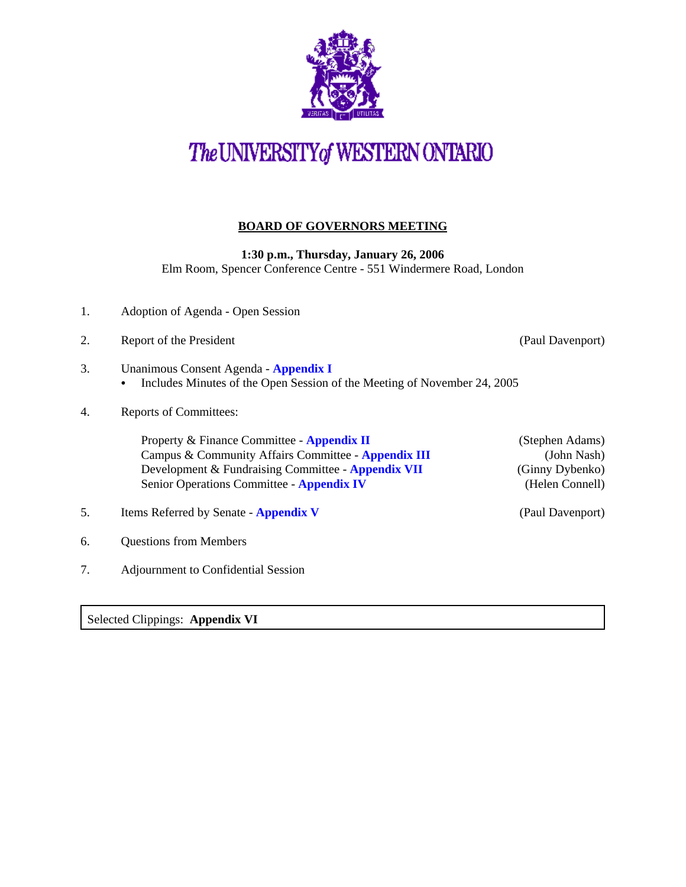

## The UNIVERSITY of WESTERN ONTARIO

## **BOARD OF GOVERNORS MEETING**

**1:30 p.m., Thursday, January 26, 2006**

Elm Room, Spencer Conference Centre - 551 Windermere Road, London

- 1. Adoption of Agenda Open Session
- 2. Report of the President (Paul Davenport)

- 3. Unanimous Consent Agenda **[Appendix I](http://www.uwo.ca/univsec/board/minutes/2006/r0601consent.pdf)**  • Includes Minutes of the Open Session of the Meeting of November 24, 2005
- 4. Reports of Committees:

Property & Finance Committee - **[Appendix II](http://www.uwo.ca/univsec/board/minutes/2006/r0601pf.pdf)** (Stephen Adams)<br>Campus & Community Affairs Committee - **Appendix III** (John Nash) Campus & Community Affairs Committee - **[Appendix III](http://www.uwo.ca/univsec/board/minutes/2006/r0601ccac.pdf)** Development & Fundraising Committee - **[Appendix VII](http://www.uwo.ca/univsec/board/minutes/2006/r0601dfr.pdf)** (Ginny Dybenko) Senior Operations Committee - **[Appendix IV](http://www.uwo.ca/univsec/board/minutes/2006/r0601srops.pdf)** (Helen Connell)

- 5. Items Referred by Senate **[Appendix V](http://www.uwo.ca/univsec/board/minutes/2006/r0601sen.pdf)** (Paul Davenport)
- 6. Questions from Members
- 7. Adjournment to Confidential Session

Selected Clippings: **Appendix VI**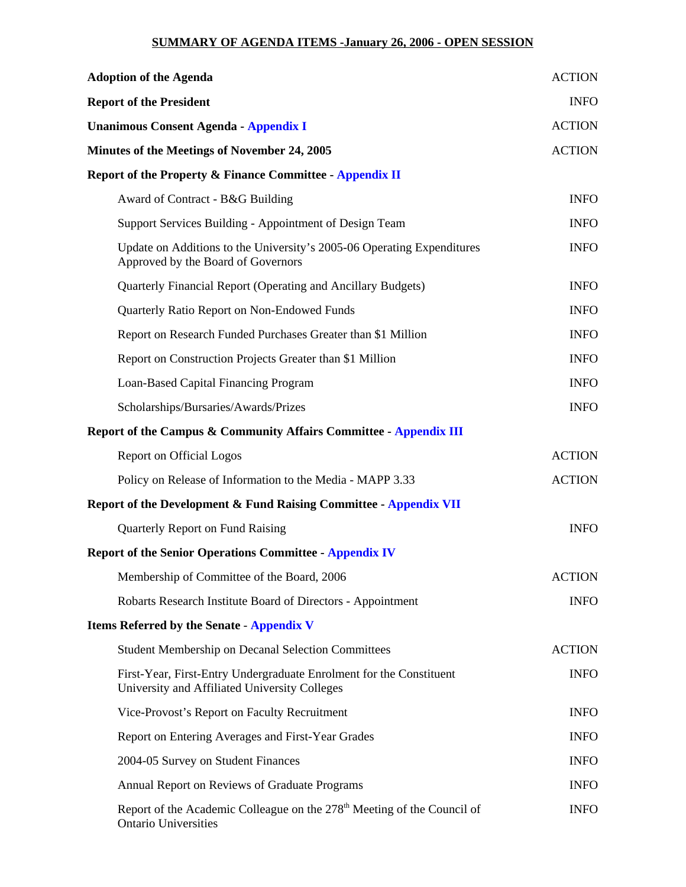## **SUMMARY OF AGENDA ITEMS -January 26, 2006 - OPEN SESSION**

| <b>Adoption of the Agenda</b>                                                                                        | <b>ACTION</b> |
|----------------------------------------------------------------------------------------------------------------------|---------------|
| <b>Report of the President</b>                                                                                       | <b>INFO</b>   |
| <b>Unanimous Consent Agenda - Appendix I</b>                                                                         | <b>ACTION</b> |
| Minutes of the Meetings of November 24, 2005                                                                         | <b>ACTION</b> |
| Report of the Property & Finance Committee - Appendix II                                                             |               |
| Award of Contract - B&G Building                                                                                     | <b>INFO</b>   |
| Support Services Building - Appointment of Design Team                                                               | <b>INFO</b>   |
| Update on Additions to the University's 2005-06 Operating Expenditures<br>Approved by the Board of Governors         | <b>INFO</b>   |
| Quarterly Financial Report (Operating and Ancillary Budgets)                                                         | <b>INFO</b>   |
| Quarterly Ratio Report on Non-Endowed Funds                                                                          | <b>INFO</b>   |
| Report on Research Funded Purchases Greater than \$1 Million                                                         | <b>INFO</b>   |
| Report on Construction Projects Greater than \$1 Million                                                             | <b>INFO</b>   |
| Loan-Based Capital Financing Program                                                                                 | <b>INFO</b>   |
| Scholarships/Bursaries/Awards/Prizes                                                                                 | <b>INFO</b>   |
| Report of the Campus & Community Affairs Committee - Appendix III                                                    |               |
| Report on Official Logos                                                                                             | <b>ACTION</b> |
| Policy on Release of Information to the Media - MAPP 3.33                                                            | <b>ACTION</b> |
| Report of the Development & Fund Raising Committee - Appendix VII                                                    |               |
| Quarterly Report on Fund Raising                                                                                     | <b>INFO</b>   |
| <b>Report of the Senior Operations Committee - Appendix IV</b>                                                       |               |
| Membership of Committee of the Board, 2006                                                                           | <b>ACTION</b> |
| Robarts Research Institute Board of Directors - Appointment                                                          | <b>INFO</b>   |
| <b>Items Referred by the Senate - Appendix V</b>                                                                     |               |
| <b>Student Membership on Decanal Selection Committees</b>                                                            | <b>ACTION</b> |
| First-Year, First-Entry Undergraduate Enrolment for the Constituent<br>University and Affiliated University Colleges | <b>INFO</b>   |
| Vice-Provost's Report on Faculty Recruitment                                                                         | <b>INFO</b>   |
| Report on Entering Averages and First-Year Grades                                                                    | <b>INFO</b>   |
| 2004-05 Survey on Student Finances                                                                                   | <b>INFO</b>   |
| Annual Report on Reviews of Graduate Programs                                                                        | <b>INFO</b>   |
| Report of the Academic Colleague on the 278 <sup>th</sup> Meeting of the Council of<br><b>Ontario Universities</b>   | <b>INFO</b>   |